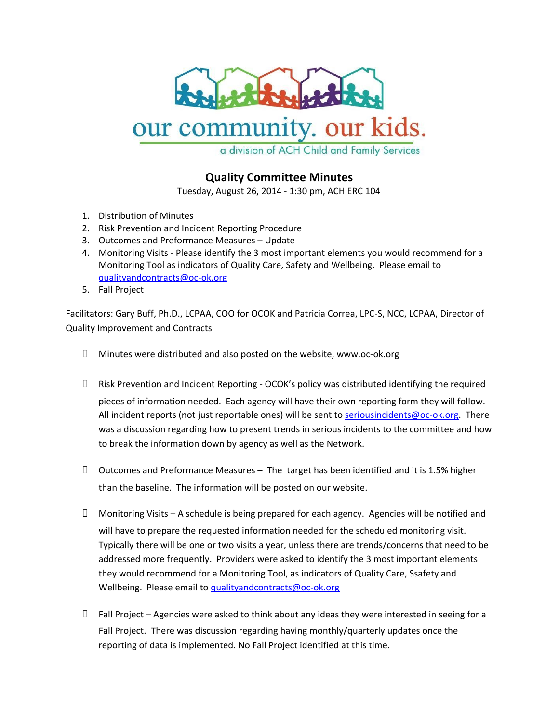

## our community. our kids.

a division of ACH Child and Family Services

## **Quality Committee Minutes**

Tuesday, August 26, 2014 - 1:30 pm, ACH ERC 104

- 1. Distribution of Minutes
- 2. Risk Prevention and Incident Reporting Procedure
- 3. Outcomes and Preformance Measures Update
- 4. Monitoring Visits Please identify the 3 most important elements you would recommend for a Monitoring Tool as indicators of Quality Care, Safety and Wellbeing. Please email to [qualityandcontracts@oc-ok.org](mailto:qualityandcontracts@oc-ok.org)
- 5. Fall Project

Facilitators: Gary Buff, Ph.D., LCPAA, COO for OCOK and Patricia Correa, LPC-S, NCC, LCPAA, Director of Quality Improvement and Contracts

- $\Box$  Minutes were distributed and also posted on the website, www.oc-ok.org
- $\Box$  Risk Prevention and Incident Reporting OCOK's policy was distributed identifying the required pieces of information needed. Each agency will have their own reporting form they will follow. All incident reports (not just reportable ones) will be sent to [seriousincidents@oc-ok.org](mailto:seriousincidents@oc-ok.org). There was a discussion regarding how to present trends in serious incidents to the committee and how to break the information down by agency as well as the Network.
- $\Box$  Outcomes and Preformance Measures The target has been identified and it is 1.5% higher than the baseline. The information will be posted on our website.
- $\Box$  Monitoring Visits A schedule is being prepared for each agency. Agencies will be notified and will have to prepare the requested information needed for the scheduled monitoring visit. Typically there will be one or two visits a year, unless there are trends/concerns that need to be addressed more frequently. Providers were asked to identify the 3 most important elements they would recommend for a Monitoring Tool, as indicators of Quality Care, Ssafety and Wellbeing. Please email to [qualityandcontracts@oc-ok.org](mailto:qualityandcontracts@oc-ok.org)
- $\Box$  Fall Project Agencies were asked to think about any ideas they were interested in seeing for a Fall Project. There was discussion regarding having monthly/quarterly updates once the reporting of data is implemented. No Fall Project identified at this time.